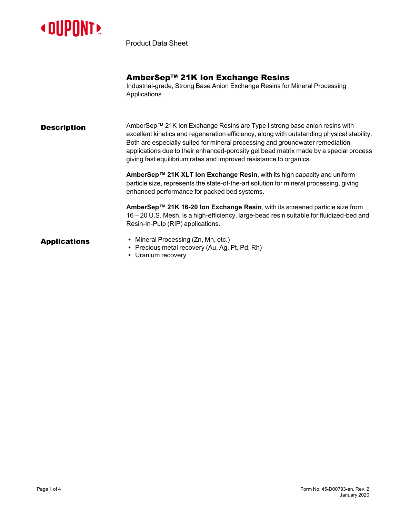

Product Data Sheet

|                     | AmberSep™ 21K Ion Exchange Resins<br>Industrial-grade, Strong Base Anion Exchange Resins for Mineral Processing<br>Applications                                                                                                                                                                                                                                                                                          |  |
|---------------------|--------------------------------------------------------------------------------------------------------------------------------------------------------------------------------------------------------------------------------------------------------------------------------------------------------------------------------------------------------------------------------------------------------------------------|--|
| Description         | AmberSep™ 21K Ion Exchange Resins are Type I strong base anion resins with<br>excellent kinetics and regeneration efficiency, along with outstanding physical stability.<br>Both are especially suited for mineral processing and groundwater remediation<br>applications due to their enhanced-porosity gel bead matrix made by a special process<br>giving fast equilibrium rates and improved resistance to organics. |  |
|                     | AmberSep™ 21K XLT Ion Exchange Resin, with its high capacity and uniform<br>particle size, represents the state-of-the-art solution for mineral processing, giving<br>enhanced performance for packed bed systems.                                                                                                                                                                                                       |  |
|                     | AmberSep™ 21K 16-20 Ion Exchange Resin, with its screened particle size from<br>16 – 20 U.S. Mesh, is a high-efficiency, large-bead resin suitable for fluidized-bed and<br>Resin-In-Pulp (RIP) applications.                                                                                                                                                                                                            |  |
| <b>Applications</b> | • Mineral Processing (Zn, Mn, etc.)<br>• Precious metal recovery (Au, Ag, Pt, Pd, Rh)<br>• Uranium recovery                                                                                                                                                                                                                                                                                                              |  |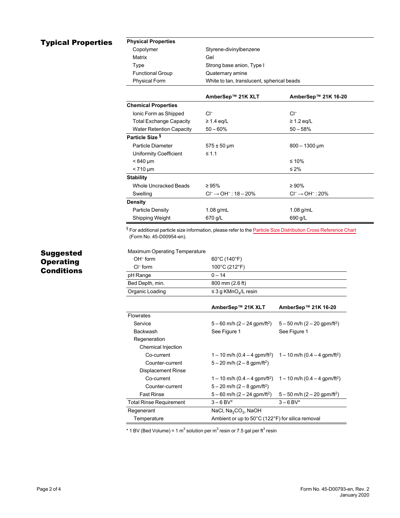# Typical Properties **Physical Properties**

| Copolymer               | Styrene-divinylbenzene                     |  |
|-------------------------|--------------------------------------------|--|
| Matrix                  | Gel                                        |  |
| Type                    | Strong base anion, Type I                  |  |
| <b>Functional Group</b> | Quaternary amine                           |  |
| <b>Physical Form</b>    | White to tan, translucent, spherical beads |  |
|                         |                                            |  |

|                                 | AmberSep™ 21K XLT                      | AmberSep™ 21K 16-20               |
|---------------------------------|----------------------------------------|-----------------------------------|
| <b>Chemical Properties</b>      |                                        |                                   |
| Ionic Form as Shipped           | $Cl^-$                                 | $Cl^-$                            |
| <b>Total Exchange Capacity</b>  | $\geq 1.4$ eq/L                        | $\geq$ 1.2 eq/L                   |
| <b>Water Retention Capacity</b> | $50 - 60%$                             | $50 - 58%$                        |
| Particle Size <sup>§</sup>      |                                        |                                   |
| Particle Diameter               | $575 \pm 50 \,\mu m$                   | $800 - 1300 \,\mathrm{\upmu m}$   |
| Uniformity Coefficient          | $\leq 1.1$                             |                                   |
| $< 840 \mu m$                   |                                        | ≤ 10%                             |
| $< 710 \mu m$                   |                                        | ≤ 2%                              |
| <b>Stability</b>                |                                        |                                   |
| Whole Uncracked Beads           | $\geq 95\%$                            | $\geq 90\%$                       |
| Swelling                        | $Cl^{-} \rightarrow OH^{-}$ : 18 - 20% | $Cl^{-} \rightarrow OH^{-}$ : 20% |
| <b>Density</b>                  |                                        |                                   |
| Particle Density                | $1.08$ g/mL                            | $1.08$ g/mL                       |
| Shipping Weight                 | 670 g/L                                | 690 g/L                           |

§ For additional particle size information, please refer to the **Particle Size [Distribution](https://www.dupont.com/content/dam/dupont/amer/us/en/water-solutions/public/documents/en/45-D00954-en.pdf) Cross Reference Chart** (Form No. 45-D00954-en).

## Suggested **Operating Conditions**

### Maximum Operating Temperature

| $OH^-$ form     | $60^{\circ}$ C (140 $^{\circ}$ F)     |
|-----------------|---------------------------------------|
| $Cl^-$ form     | 100°C (212°F)                         |
| pH Range        | $0 - 14$                              |
| Bed Depth, min. | 800 mm (2.6 ft)                       |
| Organic Loading | $\leq$ 3 g KMnO <sub>4</sub> /L resin |

|                                | AmberSep™ 21K XLT                                                                       | AmberSep™ 21K 16-20                         |  |
|--------------------------------|-----------------------------------------------------------------------------------------|---------------------------------------------|--|
| <b>Flowrates</b>               |                                                                                         |                                             |  |
| Service                        | $5-60$ m/h (2 - 24 gpm/ft <sup>2</sup> )                                                | $5-50$ m/h $(2-20$ gpm/ft <sup>2</sup> )    |  |
| Backwash                       | See Figure 1                                                                            | See Figure 1                                |  |
| Regeneration                   |                                                                                         |                                             |  |
| Chemical Injection             |                                                                                         |                                             |  |
| Co-current                     | $1 - 10$ m/h (0.4 – 4 gpm/ft <sup>2</sup> ) $1 - 10$ m/h (0.4 – 4 gpm/ft <sup>2</sup> ) |                                             |  |
| Counter-current                | $5 - 20$ m/h (2 - 8 gpm/ft <sup>2</sup> )                                               |                                             |  |
| Displacement Rinse             |                                                                                         |                                             |  |
| Co-current                     | $1 - 10$ m/h (0.4 – 4 gpm/ft <sup>2</sup> )                                             | $1 - 10$ m/h (0.4 – 4 gpm/ft <sup>2</sup> ) |  |
| Counter-current                | $5 - 20$ m/h $(2 - 8$ gpm/ft <sup>2</sup> )                                             |                                             |  |
| <b>Fast Rinse</b>              | $5-60$ m/h (2 - 24 gpm/ft <sup>2</sup> )                                                | $5-50$ m/h (2 - 20 gpm/ft <sup>2</sup> )    |  |
| <b>Total Rinse Requirement</b> | $3 - 6$ BV*                                                                             | $3 - 6$ BV*                                 |  |
| Regenerant                     | NaCl, Na <sub>2</sub> CO <sub>3</sub> , NaOH                                            |                                             |  |
| Temperature                    | Ambient or up to 50°C (122°F) for silica removal                                        |                                             |  |

\* 1 BV (Bed Volume) = 1 m $^3$  solution per m $^3$  resin or 7.5 gal per ft $^3$  resin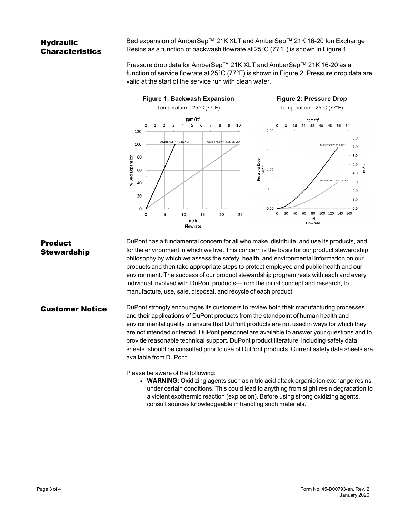## **Hydraulic** Characteristics

Bed expansion of AmberSep™ 21K XLT and AmberSep™ 21K 16-20 Ion Exchange Resins as a function of backwash flowrate at 25°C (77°F) is shown in [Figure 1.](#page-2-0)

<span id="page-2-1"></span>Pressure drop data for AmberSep™ 21K XLT and AmberSep™ 21K 16-20 as a function of service flowrate at 25°C (77°F) is shown in [Figure 2](#page-2-1). Pressure drop data are valid at the start of the service run with clean water.

<span id="page-2-0"></span>

#### Product **Stewardship** DuPont has a fundamental concern for all who make, distribute, and use its products, and for the environment in which we live. This concern is the basis for our product stewardship philosophy by which we assess the safety, health, and environmental information on our products and then take appropriate steps to protect employee and public health and our environment. The success of our product stewardship program rests with each and every individual involved with DuPont products—from the initial concept and research, to manufacture, use, sale, disposal, and recycle of each product.

## **Customer Notice** DuPont strongly encourages its customers to review both their manufacturing processes and their applications of DuPont products from the standpoint of human health and environmental quality to ensure that DuPont products are not used in ways for which they are not intended or tested. DuPont personnel are available to answer your questions and to provide reasonable technical support. DuPont product literature, including safety data sheets, should be consulted prior to use of DuPont products. Current safety data sheets are available from DuPont.

Please be aware of the following:

**• WARNING:** Oxidizing agents such as nitric acid attack organic ion exchange resins under certain conditions. This could lead to anything from slight resin degradation to a violent exothermic reaction (explosion). Before using strong oxidizing agents, consult sources knowledgeable in handling such materials.